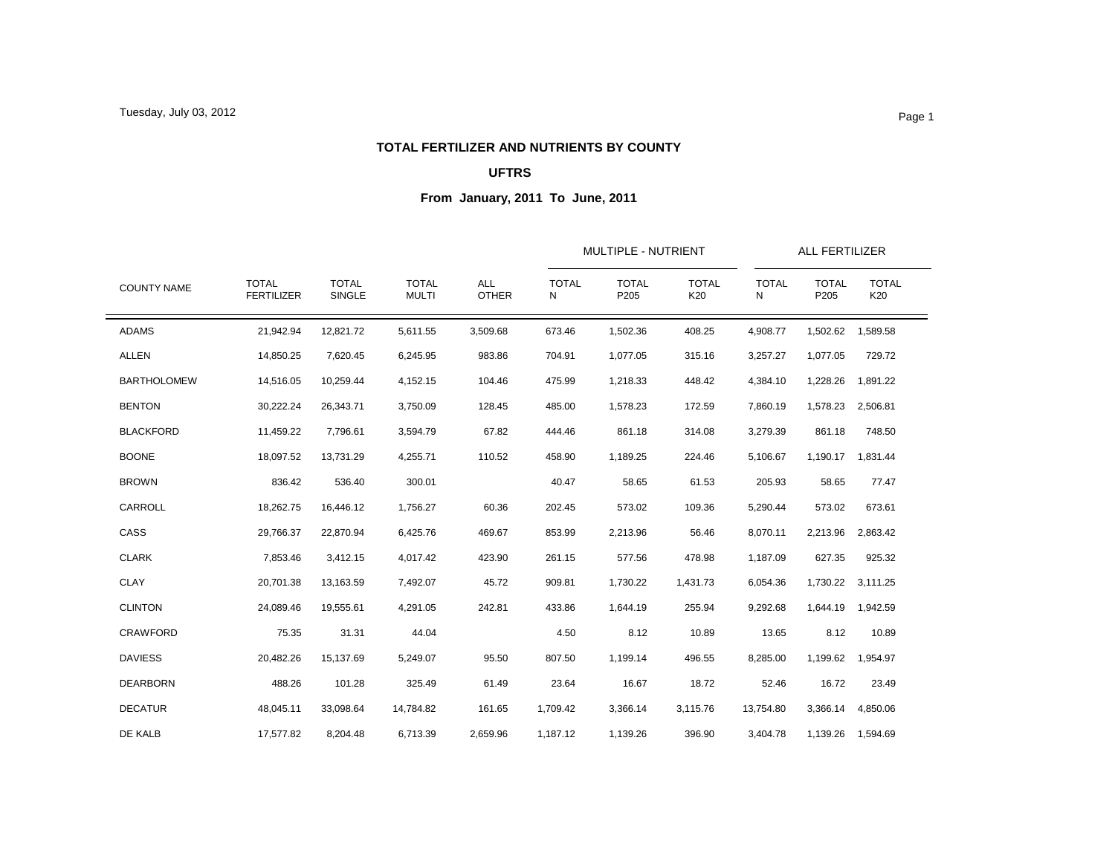### **TOTAL FERTILIZER AND NUTRIENTS BY COUNTY**

### **UFTRS**

|                    |                                   |                               |                              | MULTIPLE - NUTRIENT        |                   |                      | ALL FERTILIZER      |                   |                      |                     |
|--------------------|-----------------------------------|-------------------------------|------------------------------|----------------------------|-------------------|----------------------|---------------------|-------------------|----------------------|---------------------|
| <b>COUNTY NAME</b> | <b>TOTAL</b><br><b>FERTILIZER</b> | <b>TOTAL</b><br><b>SINGLE</b> | <b>TOTAL</b><br><b>MULTI</b> | <b>ALL</b><br><b>OTHER</b> | <b>TOTAL</b><br>N | <b>TOTAL</b><br>P205 | <b>TOTAL</b><br>K20 | <b>TOTAL</b><br>N | <b>TOTAL</b><br>P205 | <b>TOTAL</b><br>K20 |
| <b>ADAMS</b>       | 21,942.94                         | 12,821.72                     | 5,611.55                     | 3,509.68                   | 673.46            | 1,502.36             | 408.25              | 4,908.77          | 1,502.62             | 1,589.58            |
| <b>ALLEN</b>       | 14,850.25                         | 7,620.45                      | 6,245.95                     | 983.86                     | 704.91            | 1,077.05             | 315.16              | 3,257.27          | 1,077.05             | 729.72              |
| <b>BARTHOLOMEW</b> | 14,516.05                         | 10,259.44                     | 4,152.15                     | 104.46                     | 475.99            | 1,218.33             | 448.42              | 4,384.10          | 1,228.26             | 1,891.22            |
| <b>BENTON</b>      | 30,222.24                         | 26,343.71                     | 3,750.09                     | 128.45                     | 485.00            | 1,578.23             | 172.59              | 7,860.19          | 1,578.23             | 2,506.81            |
| <b>BLACKFORD</b>   | 11,459.22                         | 7,796.61                      | 3,594.79                     | 67.82                      | 444.46            | 861.18               | 314.08              | 3,279.39          | 861.18               | 748.50              |
| <b>BOONE</b>       | 18,097.52                         | 13,731.29                     | 4,255.71                     | 110.52                     | 458.90            | 1,189.25             | 224.46              | 5,106.67          | 1,190.17             | 1.831.44            |
| <b>BROWN</b>       | 836.42                            | 536.40                        | 300.01                       |                            | 40.47             | 58.65                | 61.53               | 205.93            | 58.65                | 77.47               |
| CARROLL            | 18,262.75                         | 16,446.12                     | 1,756.27                     | 60.36                      | 202.45            | 573.02               | 109.36              | 5,290.44          | 573.02               | 673.61              |
| CASS               | 29,766.37                         | 22,870.94                     | 6,425.76                     | 469.67                     | 853.99            | 2,213.96             | 56.46               | 8,070.11          | 2,213.96             | 2,863.42            |
| <b>CLARK</b>       | 7,853.46                          | 3,412.15                      | 4,017.42                     | 423.90                     | 261.15            | 577.56               | 478.98              | 1,187.09          | 627.35               | 925.32              |
| <b>CLAY</b>        | 20,701.38                         | 13,163.59                     | 7,492.07                     | 45.72                      | 909.81            | 1,730.22             | 1,431.73            | 6,054.36          |                      | 1,730.22 3,111.25   |
| <b>CLINTON</b>     | 24,089.46                         | 19.555.61                     | 4.291.05                     | 242.81                     | 433.86            | 1,644.19             | 255.94              | 9,292.68          | 1,644.19             | 1,942.59            |
| <b>CRAWFORD</b>    | 75.35                             | 31.31                         | 44.04                        |                            | 4.50              | 8.12                 | 10.89               | 13.65             | 8.12                 | 10.89               |
| <b>DAVIESS</b>     | 20,482.26                         | 15,137.69                     | 5,249.07                     | 95.50                      | 807.50            | 1,199.14             | 496.55              | 8,285.00          | 1,199.62             | 1,954.97            |
| <b>DEARBORN</b>    | 488.26                            | 101.28                        | 325.49                       | 61.49                      | 23.64             | 16.67                | 18.72               | 52.46             | 16.72                | 23.49               |
| <b>DECATUR</b>     | 48,045.11                         | 33,098.64                     | 14,784.82                    | 161.65                     | 1,709.42          | 3,366.14             | 3,115.76            | 13,754.80         | 3,366.14             | 4,850.06            |
| DE KALB            | 17,577.82                         | 8,204.48                      | 6,713.39                     | 2,659.96                   | 1,187.12          | 1,139.26             | 396.90              | 3,404.78          |                      | 1,139.26 1,594.69   |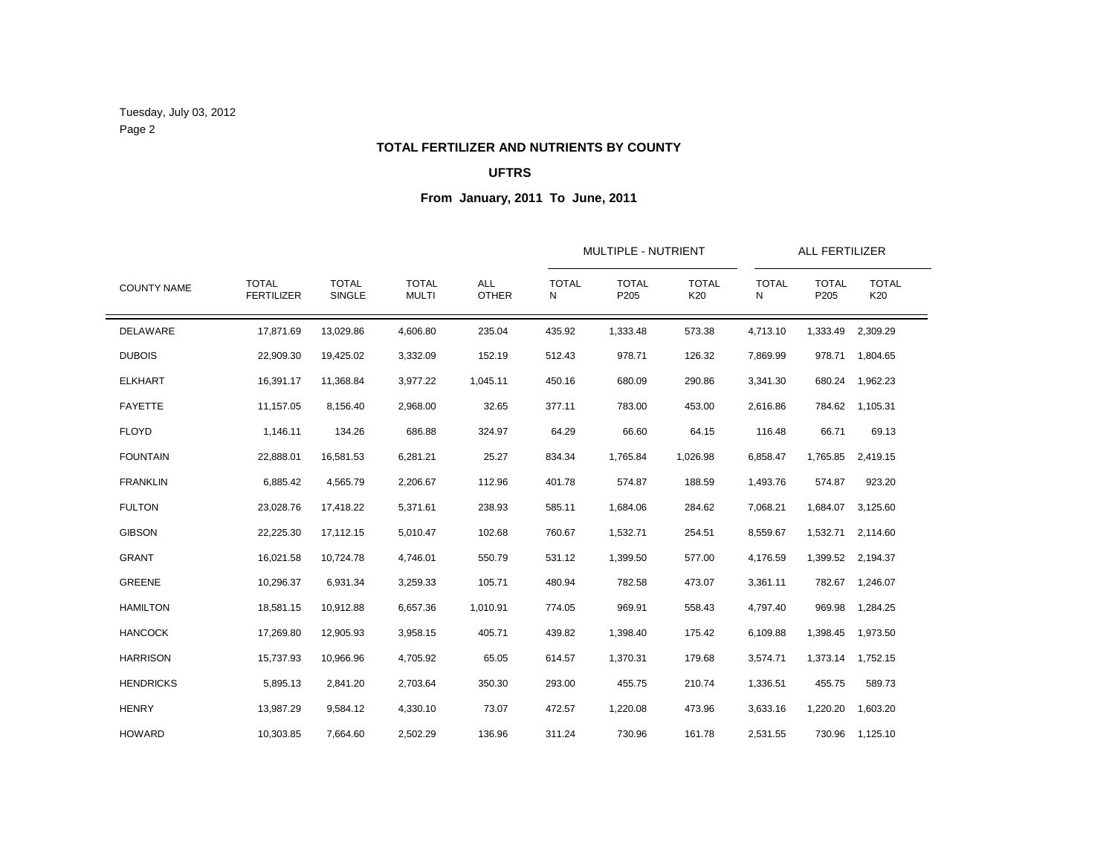Tuesday, July 03, 2012 Page 2

## **TOTAL FERTILIZER AND NUTRIENTS BY COUNTY**

### **UFTRS**

|                    |                                   |                        | <b>TOTAL</b><br><b>MULTI</b> | <b>ALL</b><br><b>OTHER</b> | <b>MULTIPLE - NUTRIENT</b> |                      |                     | ALL FERTILIZER    |                      |                     |
|--------------------|-----------------------------------|------------------------|------------------------------|----------------------------|----------------------------|----------------------|---------------------|-------------------|----------------------|---------------------|
| <b>COUNTY NAME</b> | <b>TOTAL</b><br><b>FERTILIZER</b> | <b>TOTAL</b><br>SINGLE |                              |                            | <b>TOTAL</b><br>N          | <b>TOTAL</b><br>P205 | <b>TOTAL</b><br>K20 | <b>TOTAL</b><br>N | <b>TOTAL</b><br>P205 | <b>TOTAL</b><br>K20 |
| DELAWARE           | 17,871.69                         | 13,029.86              | 4,606.80                     | 235.04                     | 435.92                     | 1,333.48             | 573.38              | 4,713.10          | 1,333.49             | 2,309.29            |
| <b>DUBOIS</b>      | 22,909.30                         | 19,425.02              | 3,332.09                     | 152.19                     | 512.43                     | 978.71               | 126.32              | 7,869.99          | 978.71               | 1,804.65            |
| <b>ELKHART</b>     | 16,391.17                         | 11,368.84              | 3,977.22                     | 1,045.11                   | 450.16                     | 680.09               | 290.86              | 3,341.30          | 680.24               | 1,962.23            |
| <b>FAYETTE</b>     | 11,157.05                         | 8,156.40               | 2,968.00                     | 32.65                      | 377.11                     | 783.00               | 453.00              | 2,616.86          | 784.62               | 1,105.31            |
| <b>FLOYD</b>       | 1,146.11                          | 134.26                 | 686.88                       | 324.97                     | 64.29                      | 66.60                | 64.15               | 116.48            | 66.71                | 69.13               |
| <b>FOUNTAIN</b>    | 22,888.01                         | 16,581.53              | 6,281.21                     | 25.27                      | 834.34                     | 1,765.84             | 1,026.98            | 6,858.47          | 1,765.85             | 2,419.15            |
| <b>FRANKLIN</b>    | 6,885.42                          | 4,565.79               | 2,206.67                     | 112.96                     | 401.78                     | 574.87               | 188.59              | 1,493.76          | 574.87               | 923.20              |
| <b>FULTON</b>      | 23,028.76                         | 17,418.22              | 5,371.61                     | 238.93                     | 585.11                     | 1,684.06             | 284.62              | 7,068.21          | 1,684.07             | 3,125.60            |
| <b>GIBSON</b>      | 22,225.30                         | 17,112.15              | 5,010.47                     | 102.68                     | 760.67                     | 1,532.71             | 254.51              | 8,559.67          | 1,532.71             | 2,114.60            |
| <b>GRANT</b>       | 16,021.58                         | 10,724.78              | 4,746.01                     | 550.79                     | 531.12                     | 1,399.50             | 577.00              | 4,176.59          | 1,399.52             | 2,194.37            |
| GREENE             | 10,296.37                         | 6,931.34               | 3,259.33                     | 105.71                     | 480.94                     | 782.58               | 473.07              | 3,361.11          | 782.67               | 1,246.07            |
| <b>HAMILTON</b>    | 18,581.15                         | 10,912.88              | 6,657.36                     | 1,010.91                   | 774.05                     | 969.91               | 558.43              | 4,797.40          | 969.98               | 1,284.25            |
| <b>HANCOCK</b>     | 17,269.80                         | 12,905.93              | 3,958.15                     | 405.71                     | 439.82                     | 1,398.40             | 175.42              | 6,109.88          | 1,398.45             | 1,973.50            |
| <b>HARRISON</b>    | 15,737.93                         | 10,966.96              | 4,705.92                     | 65.05                      | 614.57                     | 1,370.31             | 179.68              | 3,574.71          | 1,373.14             | 1,752.15            |
| <b>HENDRICKS</b>   | 5,895.13                          | 2,841.20               | 2,703.64                     | 350.30                     | 293.00                     | 455.75               | 210.74              | 1,336.51          | 455.75               | 589.73              |
| <b>HENRY</b>       | 13,987.29                         | 9,584.12               | 4,330.10                     | 73.07                      | 472.57                     | 1,220.08             | 473.96              | 3,633.16          | 1,220.20             | 1,603.20            |
| <b>HOWARD</b>      | 10,303.85                         | 7,664.60               | 2,502.29                     | 136.96                     | 311.24                     | 730.96               | 161.78              | 2,531.55          |                      | 730.96 1,125.10     |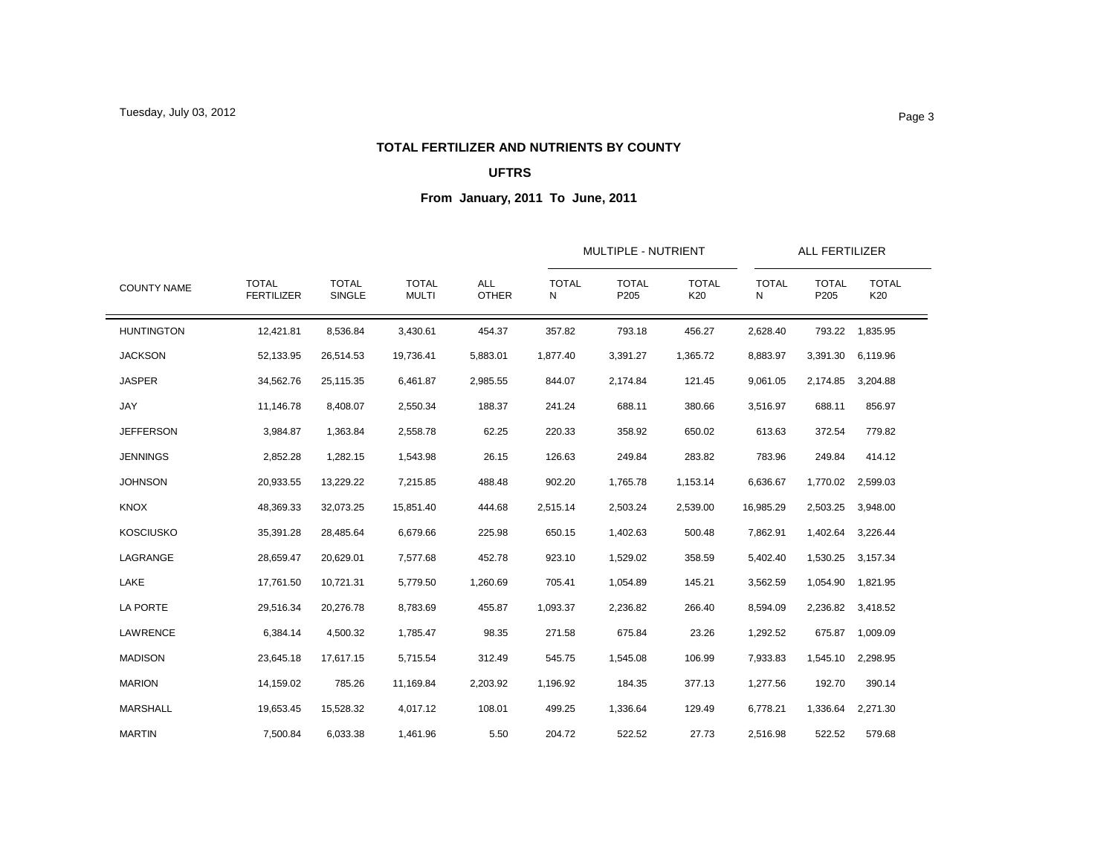### **TOTAL FERTILIZER AND NUTRIENTS BY COUNTY**

### **UFTRS**

|                    |                                   |                               |                              |                            |                   | <b>MULTIPLE - NUTRIENT</b> |                     |                   | <b>ALL FERTILIZER</b>                                                                                                                                                              |                     |
|--------------------|-----------------------------------|-------------------------------|------------------------------|----------------------------|-------------------|----------------------------|---------------------|-------------------|------------------------------------------------------------------------------------------------------------------------------------------------------------------------------------|---------------------|
| <b>COUNTY NAME</b> | <b>TOTAL</b><br><b>FERTILIZER</b> | <b>TOTAL</b><br><b>SINGLE</b> | <b>TOTAL</b><br><b>MULTI</b> | <b>ALL</b><br><b>OTHER</b> | <b>TOTAL</b><br>N | <b>TOTAL</b><br>P205       | <b>TOTAL</b><br>K20 | <b>TOTAL</b><br>N | <b>TOTAL</b><br>P205<br>793.22<br>3,391.30<br>2,174.85<br>688.11<br>372.54<br>249.84<br>1,770.02<br>2,503.25<br>1,402.64<br>1,530.25<br>1,054.90<br>2,236.82<br>675.87<br>1,545.10 | <b>TOTAL</b><br>K20 |
| <b>HUNTINGTON</b>  | 12,421.81                         | 8,536.84                      | 3,430.61                     | 454.37                     | 357.82            | 793.18                     | 456.27              | 2,628.40          |                                                                                                                                                                                    | 1,835.95            |
| <b>JACKSON</b>     | 52,133.95                         | 26,514.53                     | 19,736.41                    | 5,883.01                   | 1,877.40          | 3,391.27                   | 1,365.72            | 8,883.97          |                                                                                                                                                                                    | 6,119.96            |
| <b>JASPER</b>      | 34,562.76                         | 25,115.35                     | 6,461.87                     | 2,985.55                   | 844.07            | 2,174.84                   | 121.45              | 9,061.05          |                                                                                                                                                                                    | 3,204.88            |
| JAY                | 11,146.78                         | 8,408.07                      | 2,550.34                     | 188.37                     | 241.24            | 688.11                     | 380.66              | 3,516.97          |                                                                                                                                                                                    | 856.97              |
| <b>JEFFERSON</b>   | 3,984.87                          | 1,363.84                      | 2,558.78                     | 62.25                      | 220.33            | 358.92                     | 650.02              | 613.63            |                                                                                                                                                                                    | 779.82              |
| <b>JENNINGS</b>    | 2,852.28                          | 1,282.15                      | 1,543.98                     | 26.15                      | 126.63            | 249.84                     | 283.82              | 783.96            |                                                                                                                                                                                    | 414.12              |
| <b>JOHNSON</b>     | 20,933.55                         | 13,229.22                     | 7,215.85                     | 488.48                     | 902.20            | 1,765.78                   | 1,153.14            | 6,636.67          |                                                                                                                                                                                    | 2,599.03            |
| <b>KNOX</b>        | 48,369.33                         | 32,073.25                     | 15,851.40                    | 444.68                     | 2,515.14          | 2,503.24                   | 2,539.00            | 16,985.29         |                                                                                                                                                                                    | 3,948.00            |
| <b>KOSCIUSKO</b>   | 35,391.28                         | 28,485.64                     | 6,679.66                     | 225.98                     | 650.15            | 1,402.63                   | 500.48              | 7,862.91          |                                                                                                                                                                                    | 3,226.44            |
| LAGRANGE           | 28,659.47                         | 20,629.01                     | 7,577.68                     | 452.78                     | 923.10            | 1,529.02                   | 358.59              | 5,402.40          |                                                                                                                                                                                    | 3,157.34            |
| LAKE               | 17,761.50                         | 10,721.31                     | 5,779.50                     | 1,260.69                   | 705.41            | 1,054.89                   | 145.21              | 3,562.59          |                                                                                                                                                                                    | 1,821.95            |
| <b>LA PORTE</b>    | 29,516.34                         | 20,276.78                     | 8,783.69                     | 455.87                     | 1,093.37          | 2,236.82                   | 266.40              | 8,594.09          |                                                                                                                                                                                    | 3,418.52            |
| LAWRENCE           | 6,384.14                          | 4,500.32                      | 1,785.47                     | 98.35                      | 271.58            | 675.84                     | 23.26               | 1,292.52          |                                                                                                                                                                                    | 1,009.09            |
| <b>MADISON</b>     | 23,645.18                         | 17,617.15                     | 5,715.54                     | 312.49                     | 545.75            | 1,545.08                   | 106.99              | 7,933.83          |                                                                                                                                                                                    | 2,298.95            |
| <b>MARION</b>      | 14,159.02                         | 785.26                        | 11,169.84                    | 2,203.92                   | 1,196.92          | 184.35                     | 377.13              | 1,277.56          | 192.70                                                                                                                                                                             | 390.14              |
| <b>MARSHALL</b>    | 19,653.45                         | 15,528.32                     | 4,017.12                     | 108.01                     | 499.25            | 1,336.64                   | 129.49              | 6,778.21          | 1,336.64                                                                                                                                                                           | 2,271.30            |
| <b>MARTIN</b>      | 7,500.84                          | 6,033.38                      | 1,461.96                     | 5.50                       | 204.72            | 522.52                     | 27.73               | 2,516.98          | 522.52                                                                                                                                                                             | 579.68              |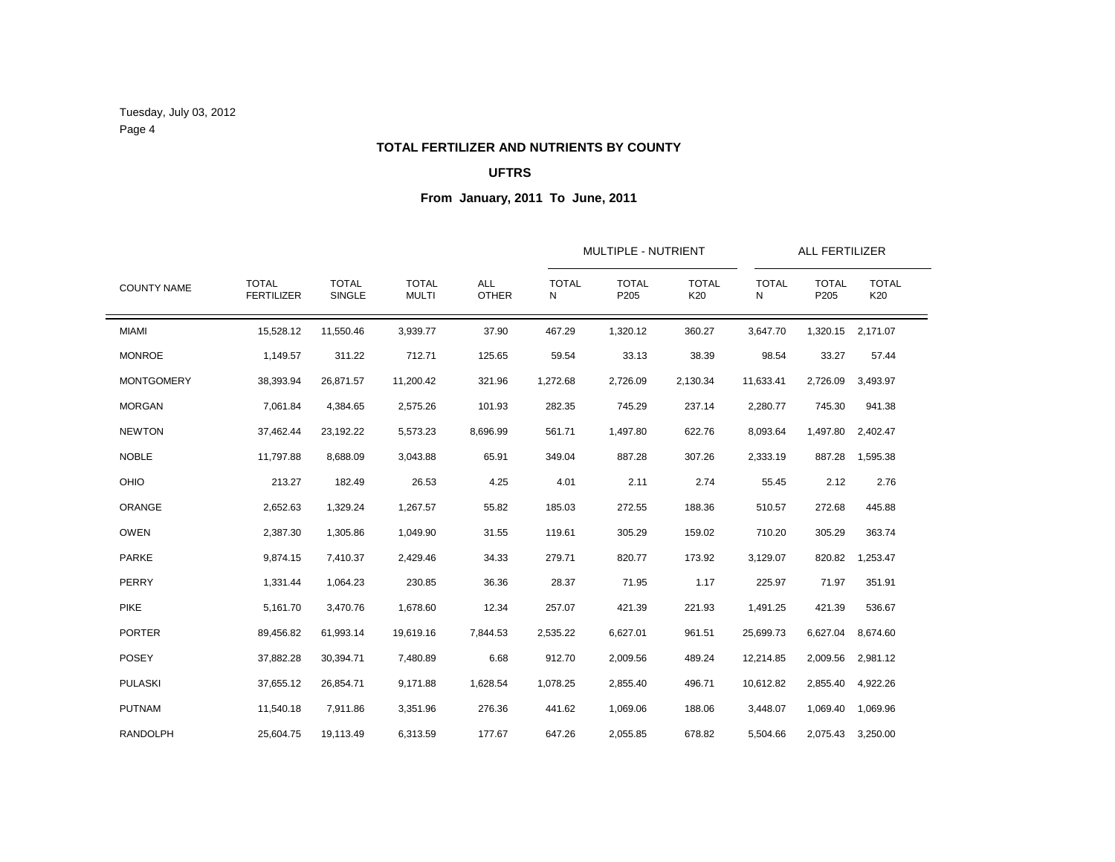Tuesday, July 03, 2012 Page 4

# **TOTAL FERTILIZER AND NUTRIENTS BY COUNTY**

### **UFTRS**

|                    |                                   | MULTIPLE - NUTRIENT<br><b>TOTAL</b><br><b>TOTAL</b><br><b>ALL</b><br><b>TOTAL</b><br><b>TOTAL</b><br><b>TOTAL</b><br><b>TOTAL</b><br><b>TOTAL</b><br>SINGLE<br><b>MULTI</b><br><b>OTHER</b><br>P205<br>P205<br>N<br>K20<br>N<br>11,550.46<br>37.90<br>467.29<br>1,320.12<br>360.27<br>3,647.70<br>3,939.77<br>1,320.15<br>311.22<br>712.71<br>125.65<br>59.54<br>33.13<br>38.39<br>98.54<br>33.27<br>11,200.42<br>321.96<br>26,871.57<br>1,272.68<br>2,726.09<br>2,130.34<br>11,633.41<br>2,726.09<br>4,384.65<br>2,575.26<br>101.93<br>282.35<br>745.29<br>237.14<br>2,280.77<br>745.30<br>23,192.22<br>5,573.23<br>8,696.99<br>561.71<br>1,497.80<br>622.76<br>8,093.64<br>1,497.80<br>65.91<br>887.28<br>307.26<br>8,688.09<br>3,043.88<br>349.04<br>2,333.19<br>887.28<br>182.49<br>26.53<br>2.11<br>2.12<br>4.25<br>4.01<br>2.74<br>55.45<br>55.82<br>1,329.24<br>1,267.57<br>185.03<br>272.55<br>188.36<br>510.57<br>272.68<br>1,305.86<br>1,049.90<br>31.55<br>119.61<br>305.29<br>159.02<br>710.20<br>305.29 |                     |          |          |          |        | ALL FERTILIZER |          |                   |
|--------------------|-----------------------------------|----------------------------------------------------------------------------------------------------------------------------------------------------------------------------------------------------------------------------------------------------------------------------------------------------------------------------------------------------------------------------------------------------------------------------------------------------------------------------------------------------------------------------------------------------------------------------------------------------------------------------------------------------------------------------------------------------------------------------------------------------------------------------------------------------------------------------------------------------------------------------------------------------------------------------------------------------------------------------------------------------------------------|---------------------|----------|----------|----------|--------|----------------|----------|-------------------|
| <b>COUNTY NAME</b> | <b>TOTAL</b><br><b>FERTILIZER</b> |                                                                                                                                                                                                                                                                                                                                                                                                                                                                                                                                                                                                                                                                                                                                                                                                                                                                                                                                                                                                                      | <b>TOTAL</b><br>K20 |          |          |          |        |                |          |                   |
| <b>MIAMI</b>       | 15,528.12                         |                                                                                                                                                                                                                                                                                                                                                                                                                                                                                                                                                                                                                                                                                                                                                                                                                                                                                                                                                                                                                      |                     |          |          |          |        |                |          | 2,171.07          |
| <b>MONROE</b>      | 1,149.57                          |                                                                                                                                                                                                                                                                                                                                                                                                                                                                                                                                                                                                                                                                                                                                                                                                                                                                                                                                                                                                                      |                     |          |          |          |        |                |          | 57.44             |
| <b>MONTGOMERY</b>  | 38,393.94                         |                                                                                                                                                                                                                                                                                                                                                                                                                                                                                                                                                                                                                                                                                                                                                                                                                                                                                                                                                                                                                      |                     |          |          |          |        |                |          | 3,493.97          |
| <b>MORGAN</b>      | 7,061.84                          |                                                                                                                                                                                                                                                                                                                                                                                                                                                                                                                                                                                                                                                                                                                                                                                                                                                                                                                                                                                                                      |                     |          |          |          |        |                |          | 941.38            |
| <b>NEWTON</b>      | 37,462.44                         |                                                                                                                                                                                                                                                                                                                                                                                                                                                                                                                                                                                                                                                                                                                                                                                                                                                                                                                                                                                                                      |                     |          |          |          |        |                |          | 2,402.47          |
| <b>NOBLE</b>       | 11,797.88                         |                                                                                                                                                                                                                                                                                                                                                                                                                                                                                                                                                                                                                                                                                                                                                                                                                                                                                                                                                                                                                      |                     |          |          |          |        |                |          | 1,595.38          |
| <b>OHIO</b>        | 213.27                            |                                                                                                                                                                                                                                                                                                                                                                                                                                                                                                                                                                                                                                                                                                                                                                                                                                                                                                                                                                                                                      |                     |          |          |          |        |                |          | 2.76              |
| ORANGE             | 2,652.63                          |                                                                                                                                                                                                                                                                                                                                                                                                                                                                                                                                                                                                                                                                                                                                                                                                                                                                                                                                                                                                                      |                     |          |          |          |        |                |          | 445.88            |
| <b>OWEN</b>        | 2,387.30                          |                                                                                                                                                                                                                                                                                                                                                                                                                                                                                                                                                                                                                                                                                                                                                                                                                                                                                                                                                                                                                      |                     |          |          |          |        |                |          | 363.74            |
| <b>PARKE</b>       | 9,874.15                          | 7,410.37                                                                                                                                                                                                                                                                                                                                                                                                                                                                                                                                                                                                                                                                                                                                                                                                                                                                                                                                                                                                             | 2,429.46            | 34.33    | 279.71   | 820.77   | 173.92 | 3,129.07       | 820.82   | 1,253.47          |
| PERRY              | 1,331.44                          | 1,064.23                                                                                                                                                                                                                                                                                                                                                                                                                                                                                                                                                                                                                                                                                                                                                                                                                                                                                                                                                                                                             | 230.85              | 36.36    | 28.37    | 71.95    | 1.17   | 225.97         | 71.97    | 351.91            |
| <b>PIKE</b>        | 5,161.70                          | 3,470.76                                                                                                                                                                                                                                                                                                                                                                                                                                                                                                                                                                                                                                                                                                                                                                                                                                                                                                                                                                                                             | 1,678.60            | 12.34    | 257.07   | 421.39   | 221.93 | 1,491.25       | 421.39   | 536.67            |
| <b>PORTER</b>      | 89,456.82                         | 61,993.14                                                                                                                                                                                                                                                                                                                                                                                                                                                                                                                                                                                                                                                                                                                                                                                                                                                                                                                                                                                                            | 19,619.16           | 7,844.53 | 2,535.22 | 6,627.01 | 961.51 | 25,699.73      | 6,627.04 | 8,674.60          |
| <b>POSEY</b>       | 37,882.28                         | 30,394.71                                                                                                                                                                                                                                                                                                                                                                                                                                                                                                                                                                                                                                                                                                                                                                                                                                                                                                                                                                                                            | 7,480.89            | 6.68     | 912.70   | 2,009.56 | 489.24 | 12,214.85      | 2,009.56 | 2,981.12          |
| <b>PULASKI</b>     | 37,655.12                         | 26,854.71                                                                                                                                                                                                                                                                                                                                                                                                                                                                                                                                                                                                                                                                                                                                                                                                                                                                                                                                                                                                            | 9,171.88            | 1,628.54 | 1,078.25 | 2,855.40 | 496.71 | 10,612.82      | 2,855.40 | 4,922.26          |
| <b>PUTNAM</b>      | 11,540.18                         | 7,911.86                                                                                                                                                                                                                                                                                                                                                                                                                                                                                                                                                                                                                                                                                                                                                                                                                                                                                                                                                                                                             | 3,351.96            | 276.36   | 441.62   | 1,069.06 | 188.06 | 3,448.07       | 1,069.40 | 1,069.96          |
| <b>RANDOLPH</b>    | 25,604.75                         | 19,113.49                                                                                                                                                                                                                                                                                                                                                                                                                                                                                                                                                                                                                                                                                                                                                                                                                                                                                                                                                                                                            | 6,313.59            | 177.67   | 647.26   | 2,055.85 | 678.82 | 5,504.66       |          | 2,075.43 3,250.00 |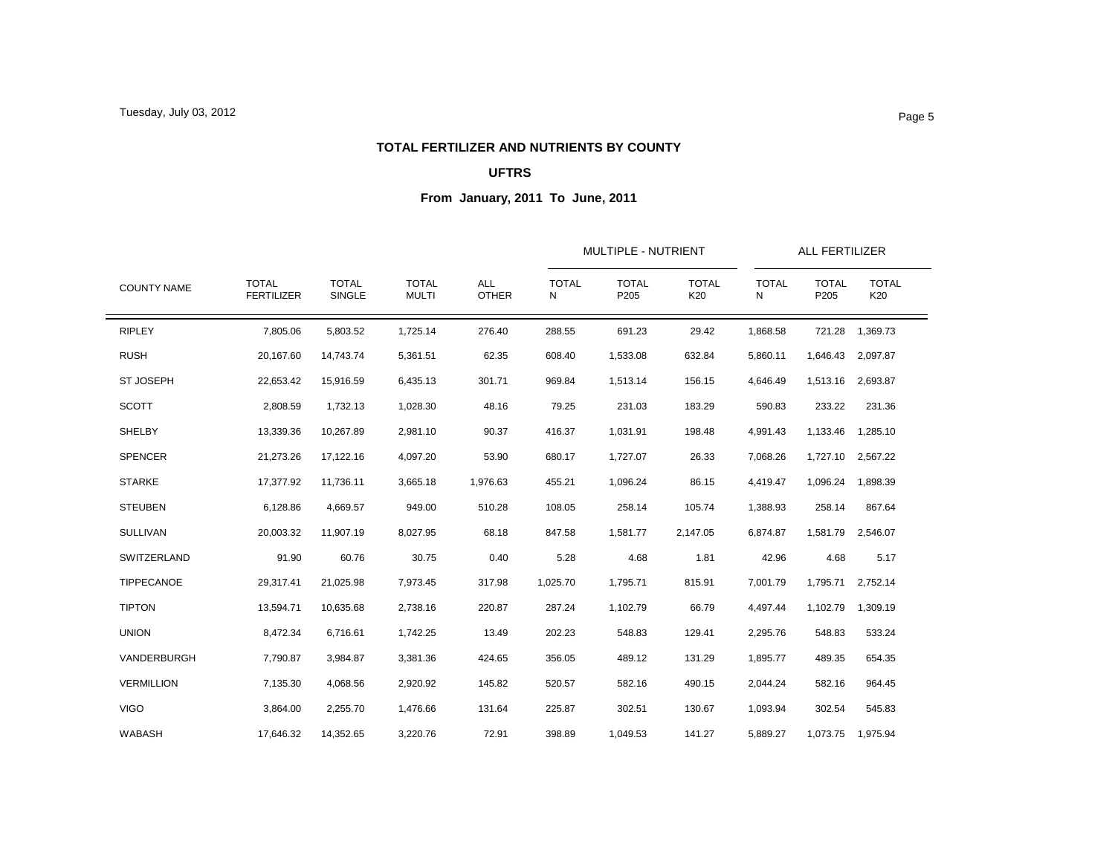### **TOTAL FERTILIZER AND NUTRIENTS BY COUNTY**

### **UFTRS**

|                    |                                   |                               |                              | <b>ALL</b><br><b>OTHER</b> |                   | <b>MULTIPLE - NUTRIENT</b> |                     | ALL FERTILIZER    |                      |                     |
|--------------------|-----------------------------------|-------------------------------|------------------------------|----------------------------|-------------------|----------------------------|---------------------|-------------------|----------------------|---------------------|
| <b>COUNTY NAME</b> | <b>TOTAL</b><br><b>FERTILIZER</b> | <b>TOTAL</b><br><b>SINGLE</b> | <b>TOTAL</b><br><b>MULTI</b> |                            | <b>TOTAL</b><br>N | <b>TOTAL</b><br>P205       | <b>TOTAL</b><br>K20 | <b>TOTAL</b><br>N | <b>TOTAL</b><br>P205 | <b>TOTAL</b><br>K20 |
| <b>RIPLEY</b>      | 7,805.06                          | 5,803.52                      | 1,725.14                     | 276.40                     | 288.55            | 691.23                     | 29.42               | 1.868.58          | 721.28               | 1,369.73            |
| <b>RUSH</b>        | 20,167.60                         | 14,743.74                     | 5,361.51                     | 62.35                      | 608.40            | 1,533.08                   | 632.84              | 5,860.11          | 1,646.43             | 2,097.87            |
| <b>ST JOSEPH</b>   | 22,653.42                         | 15,916.59                     | 6,435.13                     | 301.71                     | 969.84            | 1,513.14                   | 156.15              | 4,646.49          | 1,513.16             | 2,693.87            |
| <b>SCOTT</b>       | 2,808.59                          | 1,732.13                      | 1,028.30                     | 48.16                      | 79.25             | 231.03                     | 183.29              | 590.83            | 233.22               | 231.36              |
| SHELBY             | 13,339.36                         | 10,267.89                     | 2,981.10                     | 90.37                      | 416.37            | 1,031.91                   | 198.48              | 4,991.43          | 1,133.46             | 1,285.10            |
| <b>SPENCER</b>     | 21,273.26                         | 17,122.16                     | 4,097.20                     | 53.90                      | 680.17            | 1,727.07                   | 26.33               | 7,068.26          | 1,727.10             | 2,567.22            |
| <b>STARKE</b>      | 17,377.92                         | 11,736.11                     | 3,665.18                     | 1,976.63                   | 455.21            | 1,096.24                   | 86.15               | 4,419.47          | 1,096.24             | 1,898.39            |
| <b>STEUBEN</b>     | 6,128.86                          | 4,669.57                      | 949.00                       | 510.28                     | 108.05            | 258.14                     | 105.74              | 1,388.93          | 258.14               | 867.64              |
| <b>SULLIVAN</b>    | 20,003.32                         | 11,907.19                     | 8,027.95                     | 68.18                      | 847.58            | 1,581.77                   | 2,147.05            | 6,874.87          |                      | 1,581.79 2,546.07   |
| SWITZERLAND        | 91.90                             | 60.76                         | 30.75                        | 0.40                       | 5.28              | 4.68                       | 1.81                | 42.96             | 4.68                 | 5.17                |
| TIPPECANOE         | 29,317.41                         | 21,025.98                     | 7,973.45                     | 317.98                     | 1,025.70          | 1,795.71                   | 815.91              | 7,001.79          | 1,795.71             | 2,752.14            |
| <b>TIPTON</b>      | 13,594.71                         | 10.635.68                     | 2,738.16                     | 220.87                     | 287.24            | 1,102.79                   | 66.79               | 4,497.44          | 1,102.79             | 1,309.19            |
| <b>UNION</b>       | 8,472.34                          | 6,716.61                      | 1,742.25                     | 13.49                      | 202.23            | 548.83                     | 129.41              | 2,295.76          | 548.83               | 533.24              |
| VANDERBURGH        | 7,790.87                          | 3,984.87                      | 3,381.36                     | 424.65                     | 356.05            | 489.12                     | 131.29              | 1,895.77          | 489.35               | 654.35              |
| <b>VERMILLION</b>  | 7,135.30                          | 4,068.56                      | 2,920.92                     | 145.82                     | 520.57            | 582.16                     | 490.15              | 2,044.24          | 582.16               | 964.45              |
| <b>VIGO</b>        | 3,864.00                          | 2,255.70                      | 1,476.66                     | 131.64                     | 225.87            | 302.51                     | 130.67              | 1,093.94          | 302.54               | 545.83              |
| WABASH             | 17,646.32                         | 14,352.65                     | 3,220.76                     | 72.91                      | 398.89            | 1,049.53                   | 141.27              | 5,889.27          |                      | 1,073.75 1,975.94   |